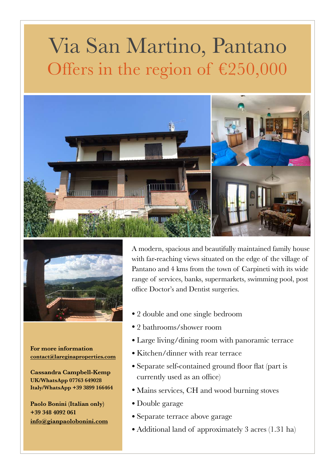## Via San Martino, Pantano Offers in the region of  $£250,000$





**For more information [contact@lareginaproperties.com](http://www.apple.com)**

**Cassandra Campbell-Kemp UK/WhatsApp 07763 649028 Italy/WhatsApp +39 3899 166464** 

**Paolo Bonini (Italian only) +39 348 4092 061 [info@gianpaolobonini.com](http://www.apple.com)** A modern, spacious and beautifully maintained family house with far-reaching views situated on the edge of the village of Pantano and 4 kms from the town of Carpineti with its wide range of services, banks, supermarkets, swimming pool, post office Doctor's and Dentist surgeries.

- 2 double and one single bedroom
- 2 bathrooms/shower room
- Large living/dining room with panoramic terrace
- Kitchen/dinner with rear terrace
- Separate self-contained ground floor flat (part is currently used as an office)
- Mains services, CH and wood burning stoves
- Double garage
- Separate terrace above garage
- Additional land of approximately 3 acres (1.31 ha)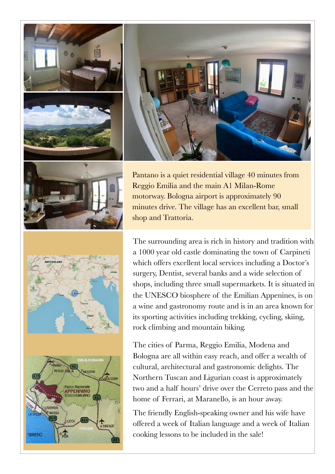

**TIRRENO** 



Pantano is a quiet residential village 40 minutes from Reggio Emilia and the main A1 Milan-Rome motorway. Bologna airport is approximately 90 minutes drive. The village has an excellent bar, small shop and Trattoria.

The surrounding area is rich in history and tradition with a 1000 year old castle dominating the town of Carpineti which offers excellent local services including a Doctor's surgery, Dentist, several banks and a wide selection of shops, including three small supermarkets. It is situated in the UNESCO biosphere of the Emilian Appenines, is on a wine and gastronomy route and is in an area known for its sporting activities including trekking, cycling, skiing, rock climbing and mountain biking.

The cities of Parma, Reggio Emilia, Modena and Bologna are all within easy reach, and offer a wealth of cultural, architectural and gastronomic delights. The Northern Tuscan and Ligurian coast is approximately two and a half hours' drive over the Cerreto pass and the home of Ferrari, at Maranello, is an hour away.

The friendly English-speaking owner and his wife have offered a week of Italian language and a week of Italian cooking lessons to be included in the sale!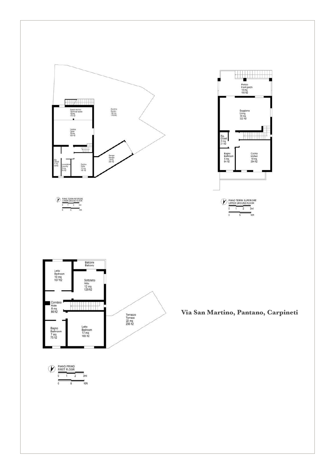